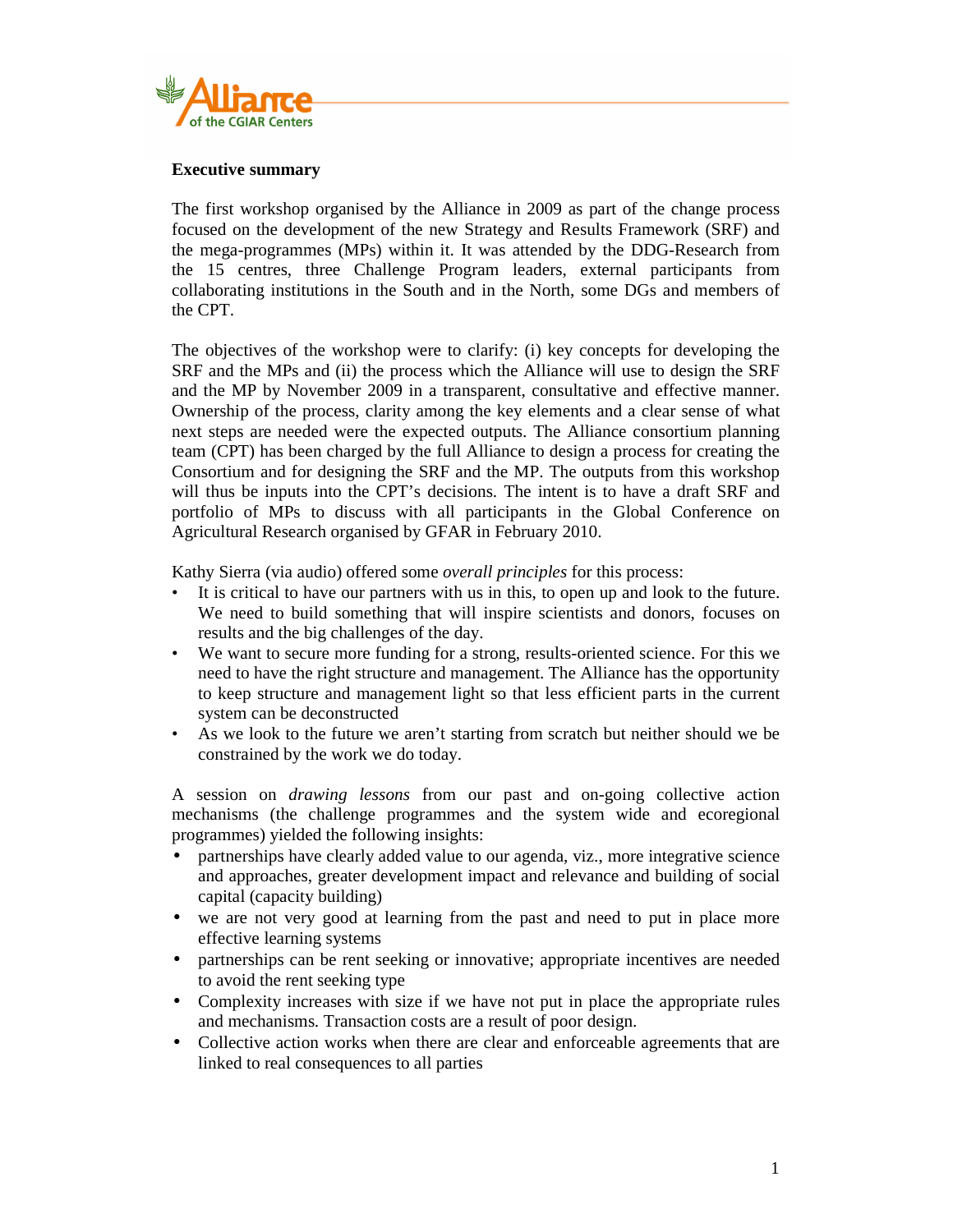

## **Executive summary**

The first workshop organised by the Alliance in 2009 as part of the change process focused on the development of the new Strategy and Results Framework (SRF) and the mega-programmes (MPs) within it. It was attended by the DDG-Research from the 15 centres, three Challenge Program leaders, external participants from collaborating institutions in the South and in the North, some DGs and members of the CPT.

The objectives of the workshop were to clarify: (i) key concepts for developing the SRF and the MPs and (ii) the process which the Alliance will use to design the SRF and the MP by November 2009 in a transparent, consultative and effective manner. Ownership of the process, clarity among the key elements and a clear sense of what next steps are needed were the expected outputs. The Alliance consortium planning team (CPT) has been charged by the full Alliance to design a process for creating the Consortium and for designing the SRF and the MP. The outputs from this workshop will thus be inputs into the CPT's decisions. The intent is to have a draft SRF and portfolio of MPs to discuss with all participants in the Global Conference on Agricultural Research organised by GFAR in February 2010.

Kathy Sierra (via audio) offered some *overall principles* for this process:

- It is critical to have our partners with us in this, to open up and look to the future. We need to build something that will inspire scientists and donors, focuses on results and the big challenges of the day.
- We want to secure more funding for a strong, results-oriented science. For this we need to have the right structure and management. The Alliance has the opportunity to keep structure and management light so that less efficient parts in the current system can be deconstructed
- As we look to the future we aren't starting from scratch but neither should we be constrained by the work we do today.

A session on *drawing lessons* from our past and on-going collective action mechanisms (the challenge programmes and the system wide and ecoregional programmes) yielded the following insights:

- partnerships have clearly added value to our agenda, viz., more integrative science and approaches, greater development impact and relevance and building of social capital (capacity building)
- we are not very good at learning from the past and need to put in place more effective learning systems
- partnerships can be rent seeking or innovative; appropriate incentives are needed to avoid the rent seeking type
- Complexity increases with size if we have not put in place the appropriate rules and mechanisms. Transaction costs are a result of poor design.
- Collective action works when there are clear and enforceable agreements that are linked to real consequences to all parties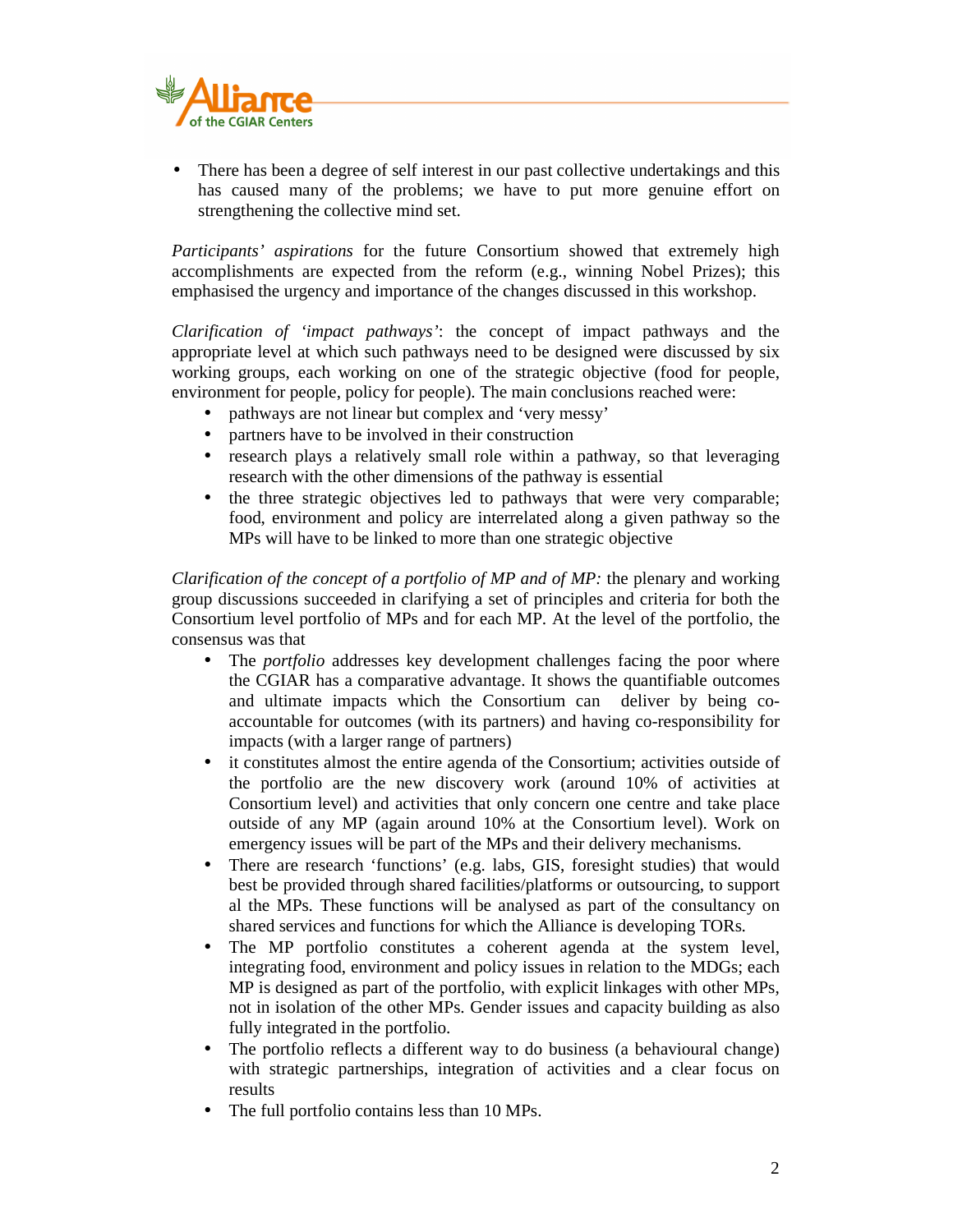

• There has been a degree of self interest in our past collective undertakings and this has caused many of the problems; we have to put more genuine effort on strengthening the collective mind set.

*Participants' aspirations* for the future Consortium showed that extremely high accomplishments are expected from the reform (e.g., winning Nobel Prizes); this emphasised the urgency and importance of the changes discussed in this workshop.

*Clarification of 'impact pathways'*: the concept of impact pathways and the appropriate level at which such pathways need to be designed were discussed by six working groups, each working on one of the strategic objective (food for people, environment for people, policy for people). The main conclusions reached were:

- pathways are not linear but complex and 'very messy'
- partners have to be involved in their construction
- research plays a relatively small role within a pathway, so that leveraging research with the other dimensions of the pathway is essential
- the three strategic objectives led to pathways that were very comparable; food, environment and policy are interrelated along a given pathway so the MPs will have to be linked to more than one strategic objective

*Clarification of the concept of a portfolio of MP and of MP:* the plenary and working group discussions succeeded in clarifying a set of principles and criteria for both the Consortium level portfolio of MPs and for each MP. At the level of the portfolio, the consensus was that

- The *portfolio* addresses key development challenges facing the poor where the CGIAR has a comparative advantage. It shows the quantifiable outcomes and ultimate impacts which the Consortium can deliver by being coaccountable for outcomes (with its partners) and having co-responsibility for impacts (with a larger range of partners)
- it constitutes almost the entire agenda of the Consortium; activities outside of the portfolio are the new discovery work (around 10% of activities at Consortium level) and activities that only concern one centre and take place outside of any MP (again around 10% at the Consortium level). Work on emergency issues will be part of the MPs and their delivery mechanisms.
- There are research 'functions' (e.g. labs, GIS, foresight studies) that would best be provided through shared facilities/platforms or outsourcing, to support al the MPs. These functions will be analysed as part of the consultancy on shared services and functions for which the Alliance is developing TORs.
- The MP portfolio constitutes a coherent agenda at the system level, integrating food, environment and policy issues in relation to the MDGs; each MP is designed as part of the portfolio, with explicit linkages with other MPs, not in isolation of the other MPs. Gender issues and capacity building as also fully integrated in the portfolio.
- The portfolio reflects a different way to do business (a behavioural change) with strategic partnerships, integration of activities and a clear focus on results
- The full portfolio contains less than 10 MPs.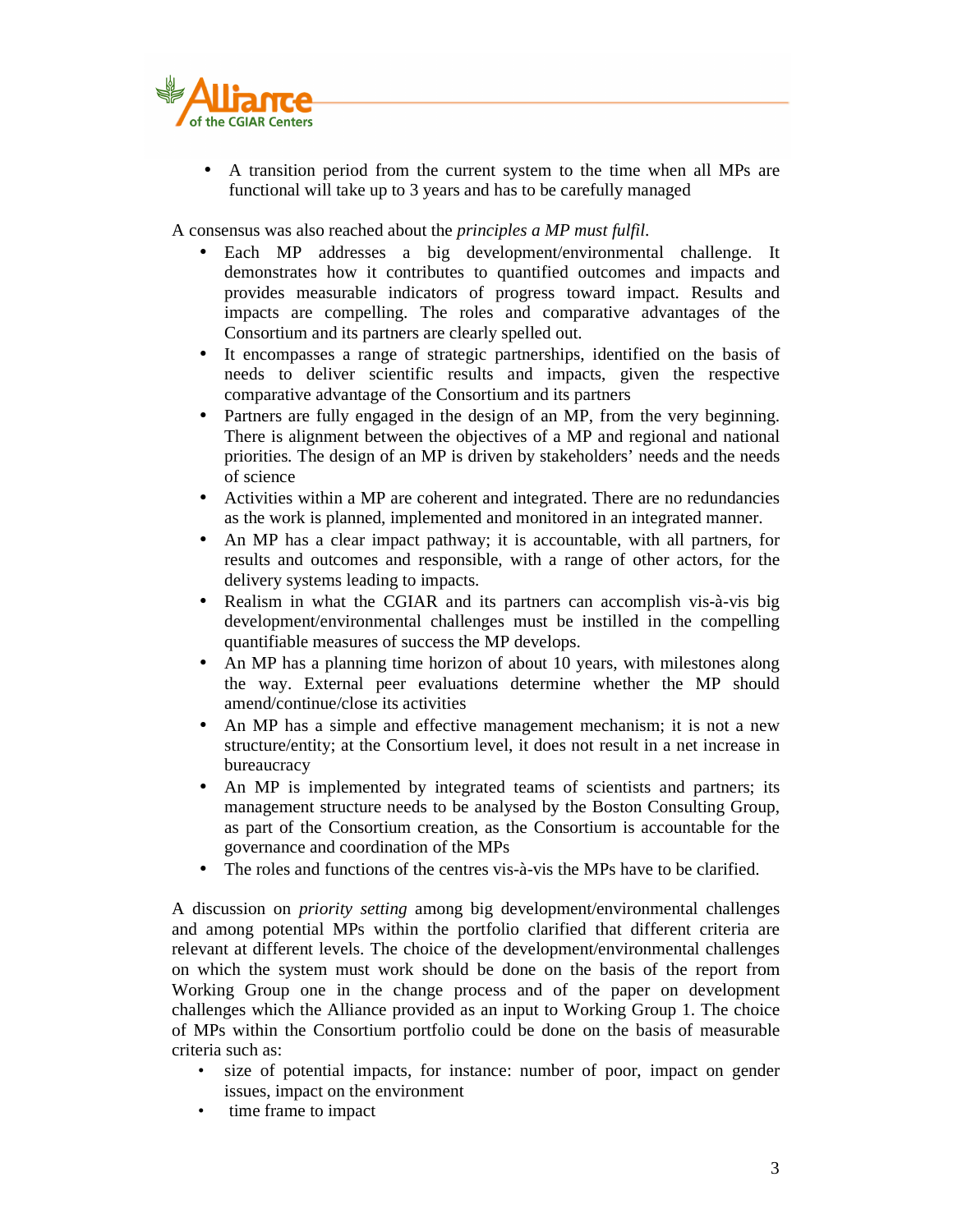

• A transition period from the current system to the time when all MPs are functional will take up to 3 years and has to be carefully managed

A consensus was also reached about the *principles a MP must fulfil*.

- Each MP addresses a big development/environmental challenge. It demonstrates how it contributes to quantified outcomes and impacts and provides measurable indicators of progress toward impact. Results and impacts are compelling. The roles and comparative advantages of the Consortium and its partners are clearly spelled out.
- It encompasses a range of strategic partnerships, identified on the basis of needs to deliver scientific results and impacts, given the respective comparative advantage of the Consortium and its partners
- Partners are fully engaged in the design of an MP, from the very beginning. There is alignment between the objectives of a MP and regional and national priorities. The design of an MP is driven by stakeholders' needs and the needs of science
- Activities within a MP are coherent and integrated. There are no redundancies as the work is planned, implemented and monitored in an integrated manner.
- An MP has a clear impact pathway; it is accountable, with all partners, for results and outcomes and responsible, with a range of other actors, for the delivery systems leading to impacts.
- Realism in what the CGIAR and its partners can accomplish vis-à-vis big development/environmental challenges must be instilled in the compelling quantifiable measures of success the MP develops.
- An MP has a planning time horizon of about 10 years, with milestones along the way. External peer evaluations determine whether the MP should amend/continue/close its activities
- An MP has a simple and effective management mechanism; it is not a new structure/entity; at the Consortium level, it does not result in a net increase in bureaucracy
- An MP is implemented by integrated teams of scientists and partners; its management structure needs to be analysed by the Boston Consulting Group, as part of the Consortium creation, as the Consortium is accountable for the governance and coordination of the MPs
- The roles and functions of the centres vis-à-vis the MPs have to be clarified.

A discussion on *priority setting* among big development/environmental challenges and among potential MPs within the portfolio clarified that different criteria are relevant at different levels. The choice of the development/environmental challenges on which the system must work should be done on the basis of the report from Working Group one in the change process and of the paper on development challenges which the Alliance provided as an input to Working Group 1. The choice of MPs within the Consortium portfolio could be done on the basis of measurable criteria such as:

- size of potential impacts, for instance: number of poor, impact on gender issues, impact on the environment
- time frame to impact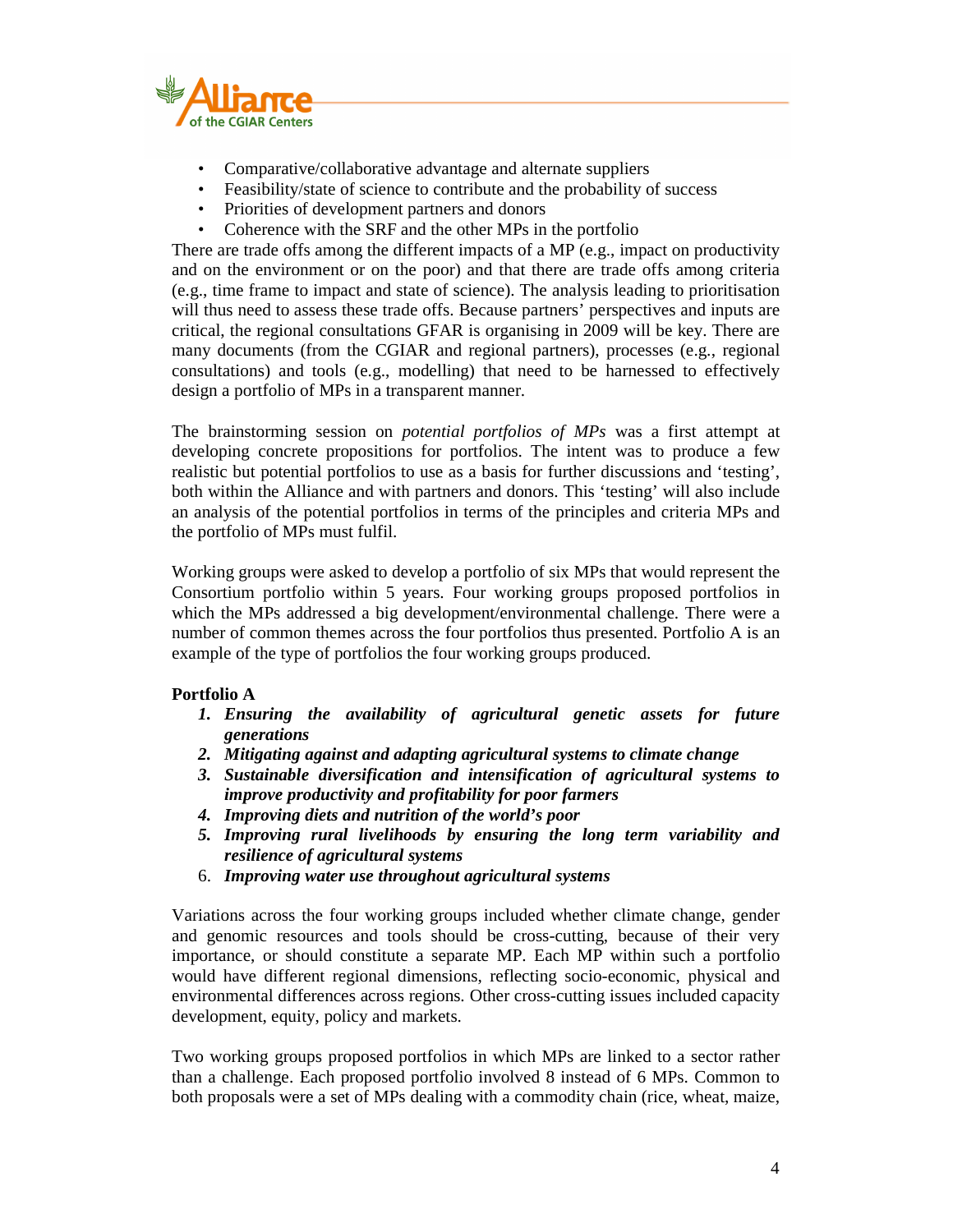

- Comparative/collaborative advantage and alternate suppliers
- Feasibility/state of science to contribute and the probability of success
- Priorities of development partners and donors
- Coherence with the SRF and the other MPs in the portfolio

There are trade offs among the different impacts of a MP (e.g., impact on productivity and on the environment or on the poor) and that there are trade offs among criteria (e.g., time frame to impact and state of science). The analysis leading to prioritisation will thus need to assess these trade offs. Because partners' perspectives and inputs are critical, the regional consultations GFAR is organising in 2009 will be key. There are many documents (from the CGIAR and regional partners), processes (e.g., regional consultations) and tools (e.g., modelling) that need to be harnessed to effectively design a portfolio of MPs in a transparent manner.

The brainstorming session on *potential portfolios of MPs* was a first attempt at developing concrete propositions for portfolios. The intent was to produce a few realistic but potential portfolios to use as a basis for further discussions and 'testing', both within the Alliance and with partners and donors. This 'testing' will also include an analysis of the potential portfolios in terms of the principles and criteria MPs and the portfolio of MPs must fulfil.

Working groups were asked to develop a portfolio of six MPs that would represent the Consortium portfolio within 5 years. Four working groups proposed portfolios in which the MPs addressed a big development/environmental challenge. There were a number of common themes across the four portfolios thus presented. Portfolio A is an example of the type of portfolios the four working groups produced.

## **Portfolio A**

- *1. Ensuring the availability of agricultural genetic assets for future generations*
- *2. Mitigating against and adapting agricultural systems to climate change*
- *3. Sustainable diversification and intensification of agricultural systems to improve productivity and profitability for poor farmers*
- *4. Improving diets and nutrition of the world's poor*
- *5. Improving rural livelihoods by ensuring the long term variability and resilience of agricultural systems*
- 6. *Improving water use throughout agricultural systems*

Variations across the four working groups included whether climate change, gender and genomic resources and tools should be cross-cutting, because of their very importance, or should constitute a separate MP. Each MP within such a portfolio would have different regional dimensions, reflecting socio-economic, physical and environmental differences across regions. Other cross-cutting issues included capacity development, equity, policy and markets.

Two working groups proposed portfolios in which MPs are linked to a sector rather than a challenge. Each proposed portfolio involved 8 instead of 6 MPs. Common to both proposals were a set of MPs dealing with a commodity chain (rice, wheat, maize,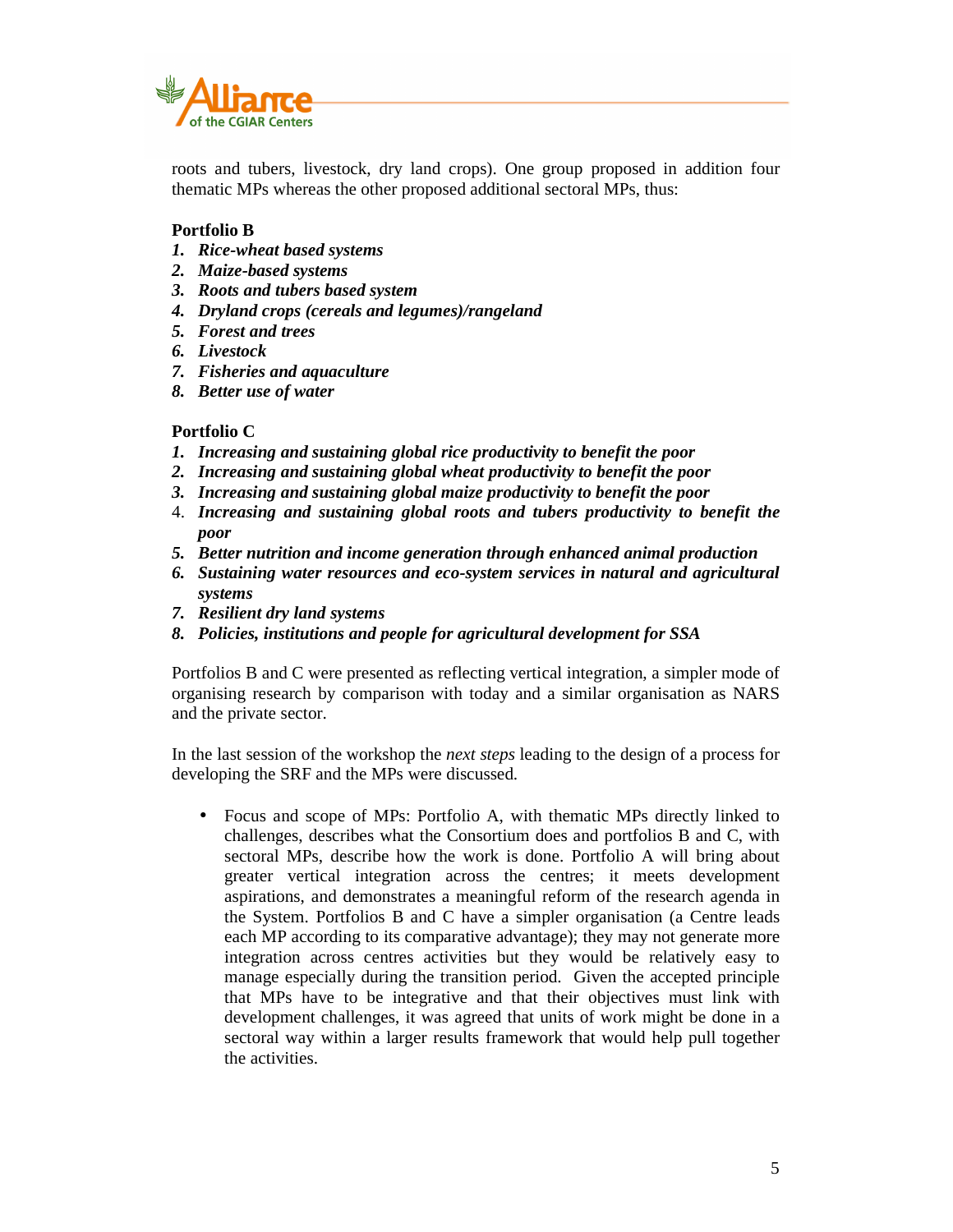

roots and tubers, livestock, dry land crops). One group proposed in addition four thematic MPs whereas the other proposed additional sectoral MPs, thus:

## **Portfolio B**

- *1. Rice-wheat based systems*
- *2. Maize-based systems*
- *3. Roots and tubers based system*
- *4. Dryland crops (cereals and legumes)/rangeland*
- *5. Forest and trees*
- *6. Livestock*
- *7. Fisheries and aquaculture*
- *8. Better use of water*

## **Portfolio C**

- *1. Increasing and sustaining global rice productivity to benefit the poor*
- *2. Increasing and sustaining global wheat productivity to benefit the poor*
- *3. Increasing and sustaining global maize productivity to benefit the poor*
- 4. *Increasing and sustaining global roots and tubers productivity to benefit the poor*
- *5. Better nutrition and income generation through enhanced animal production*
- *6. Sustaining water resources and eco-system services in natural and agricultural systems*
- *7. Resilient dry land systems*
- *8. Policies, institutions and people for agricultural development for SSA*

Portfolios B and C were presented as reflecting vertical integration, a simpler mode of organising research by comparison with today and a similar organisation as NARS and the private sector.

In the last session of the workshop the *next steps* leading to the design of a process for developing the SRF and the MPs were discussed.

• Focus and scope of MPs: Portfolio A, with thematic MPs directly linked to challenges, describes what the Consortium does and portfolios B and C, with sectoral MPs, describe how the work is done. Portfolio A will bring about greater vertical integration across the centres; it meets development aspirations, and demonstrates a meaningful reform of the research agenda in the System. Portfolios B and C have a simpler organisation (a Centre leads each MP according to its comparative advantage); they may not generate more integration across centres activities but they would be relatively easy to manage especially during the transition period. Given the accepted principle that MPs have to be integrative and that their objectives must link with development challenges, it was agreed that units of work might be done in a sectoral way within a larger results framework that would help pull together the activities.